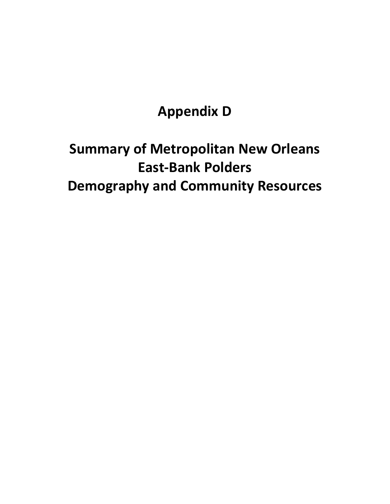# **Appendix D**

# **Summary of Metropolitan New Orleans East-Bank Polders Demography and Community Resources**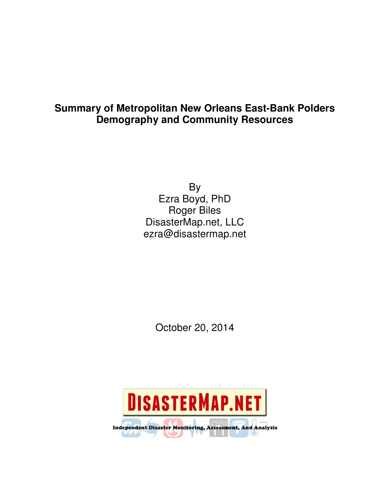# **Summary of Metropolitan New Orleans East-Bank Polders Demography and Community Resources**

By Ezra Boyd, PhD Roger Biles DisasterMap.net, LLC ezra@disastermap.net

October 20, 2014

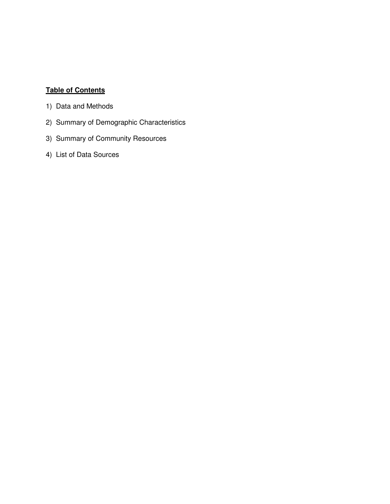# **Table of Contents**

- 1) Data and Methods
- 2) Summary of Demographic Characteristics
- 3) Summary of Community Resources
- 4) List of Data Sources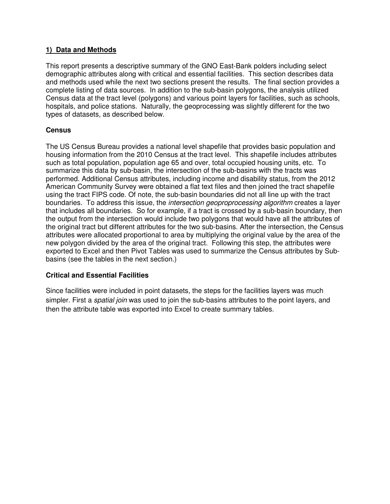## **1) Data and Methods**

This report presents a descriptive summary of the GNO East-Bank polders including select demographic attributes along with critical and essential facilities. This section describes data and methods used while the next two sections present the results. The final section provides a complete listing of data sources. In addition to the sub-basin polygons, the analysis utilized Census data at the tract level (polygons) and various point layers for facilities, such as schools, hospitals, and police stations. Naturally, the geoprocessing was slightly different for the two types of datasets, as described below.

### **Census**

The US Census Bureau provides a national level shapefile that provides basic population and housing information from the 2010 Census at the tract level. This shapefile includes attributes such as total population, population age 65 and over, total occupied housing units, etc. To summarize this data by sub-basin, the intersection of the sub-basins with the tracts was performed. Additional Census attributes, including income and disability status, from the 2012 American Community Survey were obtained a flat text files and then joined the tract shapefile using the tract FIPS code. Of note, the sub-basin boundaries did not all line up with the tract boundaries. To address this issue, the *intersection geoproprocessing algorithm* creates a layer that includes all boundaries. So for example, if a tract is crossed by a sub-basin boundary, then the output from the intersection would include two polygons that would have all the attributes of the original tract but different attributes for the two sub-basins. After the intersection, the Census attributes were allocated proportional to area by multiplying the original value by the area of the new polygon divided by the area of the original tract. Following this step, the attributes were exported to Excel and then Pivot Tables was used to summarize the Census attributes by Subbasins (see the tables in the next section.)

#### **Critical and Essential Facilities**

Since facilities were included in point datasets, the steps for the facilities layers was much simpler. First a *spatial join* was used to join the sub-basins attributes to the point layers, and then the attribute table was exported into Excel to create summary tables.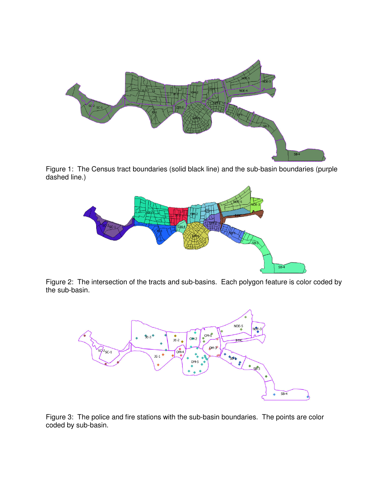

Figure 1: The Census tract boundaries (solid black line) and the sub-basin boundaries (purple dashed line.)



Figure 2: The intersection of the tracts and sub-basins. Each polygon feature is color coded by the sub-basin.



Figure 3: The police and fire stations with the sub-basin boundaries. The points are color coded by sub-basin.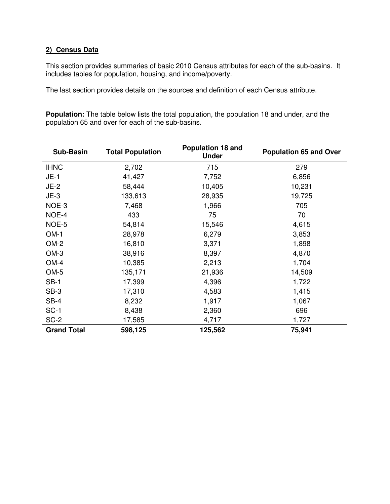# **2) Census Data**

This section provides summaries of basic 2010 Census attributes for each of the sub-basins. It includes tables for population, housing, and income/poverty.

The last section provides details on the sources and definition of each Census attribute.

**Population:** The table below lists the total population, the population 18 and under, and the population 65 and over for each of the sub-basins.

| <b>Sub-Basin</b>   | <b>Total Population</b> | Population 18 and<br><b>Under</b> | <b>Population 65 and Over</b> |
|--------------------|-------------------------|-----------------------------------|-------------------------------|
| <b>IHNC</b>        | 2,702                   | 715                               | 279                           |
| $JE-1$             | 41,427                  | 7,752                             | 6,856                         |
| $JE-2$             | 58,444                  | 10,405                            | 10,231                        |
| $JE-3$             | 133,613                 | 28,935                            | 19,725                        |
| NOE-3              | 7,468                   | 1,966                             | 705                           |
| NOE-4              | 433                     | 75                                | 70                            |
| NOE-5              | 54,814                  | 15,546                            | 4,615                         |
| $OM-1$             | 28,978                  | 6,279                             | 3,853                         |
| $OM-2$             | 16,810                  | 3,371                             | 1,898                         |
| $OM-3$             | 38,916                  | 8,397                             | 4,870                         |
| OM-4               | 10,385                  | 2,213                             | 1,704                         |
| $OM-5$             | 135,171                 | 21,936                            | 14,509                        |
| $SB-1$             | 17,399                  | 4,396                             | 1,722                         |
| $SB-3$             | 17,310                  | 4,583                             | 1,415                         |
| $SB-4$             | 8,232                   | 1,917                             | 1,067                         |
| $SC-1$             | 8,438                   | 2,360                             | 696                           |
| SC-2               | 17,585                  | 4,717                             | 1,727                         |
| <b>Grand Total</b> | 598,125                 | 125,562                           | 75,941                        |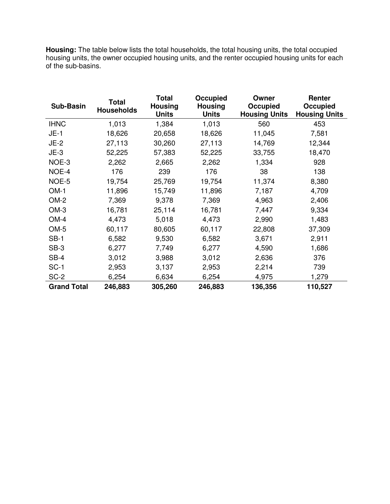**Housing:** The table below lists the total households, the total housing units, the total occupied housing units, the owner occupied housing units, and the renter occupied housing units for each of the sub-basins.

| <b>Sub-Basin</b>   | <b>Total</b><br><b>Households</b> | <b>Total</b><br><b>Housing</b><br><b>Units</b> | Occupied<br><b>Housing</b><br><b>Units</b> | Owner<br>Occupied<br><b>Housing Units</b> | Renter<br>Occupied<br><b>Housing Units</b> |
|--------------------|-----------------------------------|------------------------------------------------|--------------------------------------------|-------------------------------------------|--------------------------------------------|
| <b>IHNC</b>        | 1,013                             | 1,384                                          | 1,013                                      | 560                                       | 453                                        |
| $JE-1$             | 18,626                            | 20,658                                         | 18,626                                     | 11,045                                    | 7,581                                      |
| $JE-2$             | 27,113                            | 30,260                                         | 27,113                                     | 14,769                                    | 12,344                                     |
| $JE-3$             | 52,225                            | 57,383                                         | 52,225                                     | 33,755                                    | 18,470                                     |
| NOE-3              | 2,262                             | 2,665                                          | 2,262                                      | 1,334                                     | 928                                        |
| NOE-4              | 176                               | 239                                            | 176                                        | 38                                        | 138                                        |
| NOE-5              | 19,754                            | 25,769                                         | 19,754                                     | 11,374                                    | 8,380                                      |
| $OM-1$             | 11,896                            | 15,749                                         | 11,896                                     | 7,187                                     | 4,709                                      |
| OM-2               | 7,369                             | 9,378                                          | 7,369                                      | 4,963                                     | 2,406                                      |
| $OM-3$             | 16,781                            | 25,114                                         | 16,781                                     | 7,447                                     | 9,334                                      |
| $OM-4$             | 4,473                             | 5,018                                          | 4,473                                      | 2,990                                     | 1,483                                      |
| OM-5               | 60,117                            | 80,605                                         | 60,117                                     | 22,808                                    | 37,309                                     |
| $SB-1$             | 6,582                             | 9,530                                          | 6,582                                      | 3,671                                     | 2,911                                      |
| $SB-3$             | 6,277                             | 7,749                                          | 6,277                                      | 4,590                                     | 1,686                                      |
| $SB-4$             | 3,012                             | 3,988                                          | 3,012                                      | 2,636                                     | 376                                        |
| $SC-1$             | 2,953                             | 3,137                                          | 2,953                                      | 2,214                                     | 739                                        |
| SC-2               | 6,254                             | 6,634                                          | 6,254                                      | 4,975                                     | 1,279                                      |
| <b>Grand Total</b> | 246,883                           | 305,260                                        | 246,883                                    | 136,356                                   | 110,527                                    |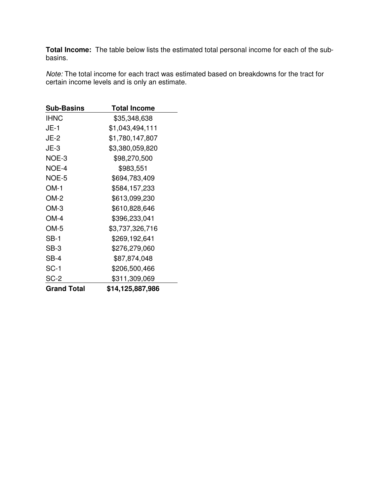**Total Income:** The table below lists the estimated total personal income for each of the subbasins.

Note: The total income for each tract was estimated based on breakdowns for the tract for certain income levels and is only an estimate.

| <b>Sub-Basins</b>  | <b>Total Income</b> |
|--------------------|---------------------|
| <b>IHNC</b>        | \$35,348,638        |
| $JE-1$             | \$1,043,494,111     |
| <b>JE-2</b>        | \$1,780,147,807     |
| $JE-3$             | \$3,380,059,820     |
| NOE-3              | \$98,270,500        |
| NOE-4              | \$983,551           |
| NOE-5              | \$694,783,409       |
| $OM-1$             | \$584,157,233       |
| $OM-2$             | \$613,099,230       |
| $OM-3$             | \$610,828,646       |
| OM-4               | \$396,233,041       |
| $OM-5$             | \$3,737,326,716     |
| $SB-1$             | \$269,192,641       |
| $SB-3$             | \$276,279,060       |
| SB-4               | \$87,874,048        |
| $SC-1$             | \$206,500,466       |
| SC-2               | \$311,309,069       |
| <b>Grand Total</b> | \$14,125,887,986    |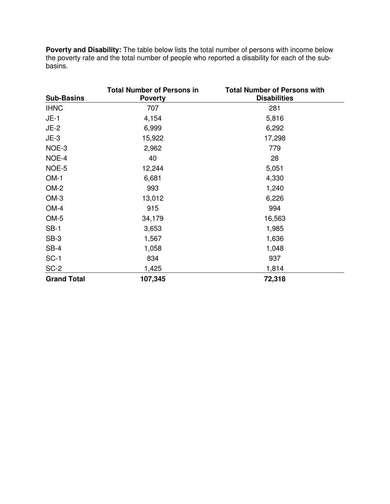**Poverty and Disability:** The table below lists the total number of persons with income below the poverty rate and the total number of people who reported a disability for each of the subbasins.

| <b>Sub-Basins</b>  | <b>Total Number of Persons in</b><br><b>Poverty</b> | <b>Total Number of Persons with</b><br><b>Disabilities</b> |
|--------------------|-----------------------------------------------------|------------------------------------------------------------|
| <b>IHNC</b>        | 707                                                 | 281                                                        |
| $JE-1$             | 4,154                                               | 5,816                                                      |
| $JE-2$             | 6,999                                               | 6,292                                                      |
| $JE-3$             | 15,922                                              | 17,298                                                     |
| NOE-3              | 2,962                                               | 779                                                        |
| NOE-4              | 40                                                  | 28                                                         |
| NOE-5              | 12,244                                              | 5,051                                                      |
| $OM-1$             | 6,681                                               | 4,330                                                      |
| OM-2               | 993                                                 | 1,240                                                      |
| $OM-3$             | 13,012                                              | 6,226                                                      |
| $OM-4$             | 915                                                 | 994                                                        |
| OM-5               | 34,179                                              | 16,563                                                     |
| $SB-1$             | 3,653                                               | 1,985                                                      |
| SB-3               | 1,567                                               | 1,636                                                      |
| $SB-4$             | 1,058                                               | 1,048                                                      |
| $SC-1$             | 834                                                 | 937                                                        |
| SC-2               | 1,425                                               | 1,814                                                      |
| <b>Grand Total</b> | 107,345                                             | 72,318                                                     |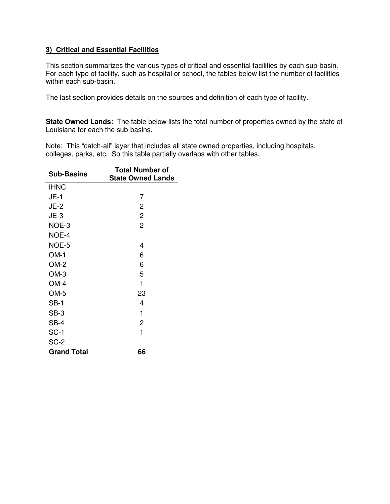## **3) Critical and Essential Facilities**

This section summarizes the various types of critical and essential facilities by each sub-basin. For each type of facility, such as hospital or school, the tables below list the number of facilities within each sub-basin.

The last section provides details on the sources and definition of each type of facility.

**State Owned Lands:** The table below lists the total number of properties owned by the state of Louisiana for each the sub-basins.

Note: This "catch-all" layer that includes all state owned properties, including hospitals, colleges, parks, etc. So this table partially overlaps with other tables.

| <b>Sub-Basins</b>  | <b>Total Number of</b><br><b>State Owned Lands</b> |
|--------------------|----------------------------------------------------|
| <b>IHNC</b>        |                                                    |
| $JE-1$             | 7                                                  |
| $JE-2$             | 2                                                  |
| $JE-3$             | $\overline{2}$                                     |
| NOE-3              | $\overline{2}$                                     |
| NOE-4              |                                                    |
| NOE-5              | 4                                                  |
| $OM-1$             | 6                                                  |
| $OM-2$             | 6                                                  |
| $OM-3$             | 5                                                  |
| OM-4               | 1                                                  |
| OM-5               | 23                                                 |
| $SB-1$             | 4                                                  |
| SB-3               | 1                                                  |
| $SB-4$             | $\overline{2}$                                     |
| SC-1               | 1                                                  |
| $SC-2$             |                                                    |
| <b>Grand Total</b> | 66                                                 |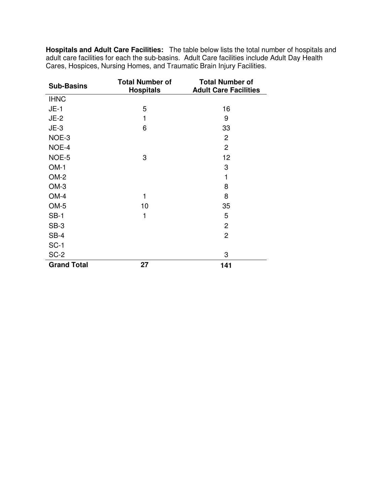**Hospitals and Adult Care Facilities:** The table below lists the total number of hospitals and adult care facilities for each the sub-basins. Adult Care facilities include Adult Day Health Cares, Hospices, Nursing Homes, and Traumatic Brain Injury Facilities.

| <b>Sub-Basins</b>  | <b>Total Number of</b><br><b>Hospitals</b> | <b>Total Number of</b><br><b>Adult Care Facilities</b> |
|--------------------|--------------------------------------------|--------------------------------------------------------|
| <b>IHNC</b>        |                                            |                                                        |
| $JE-1$             | 5                                          | 16                                                     |
| $JE-2$             | 1                                          | 9                                                      |
| $JE-3$             | 6                                          | 33                                                     |
| NOE-3              |                                            | $\overline{2}$                                         |
| NOE-4              |                                            | $\overline{2}$                                         |
| NOE-5              | 3                                          | 12                                                     |
| $OM-1$             |                                            | 3                                                      |
| OM-2               |                                            | 1                                                      |
| $OM-3$             |                                            | 8                                                      |
| $OM-4$             | 1                                          | 8                                                      |
| OM-5               | 10                                         | 35                                                     |
| $SB-1$             | 1                                          | 5                                                      |
| $SB-3$             |                                            | $\overline{2}$                                         |
| $SB-4$             |                                            | $\overline{c}$                                         |
| $SC-1$             |                                            |                                                        |
| SC-2               |                                            | 3                                                      |
| <b>Grand Total</b> | 27                                         | 141                                                    |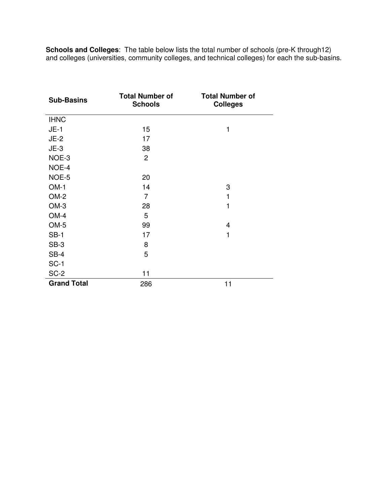**Schools and Colleges**: The table below lists the total number of schools (pre-K through12) and colleges (universities, community colleges, and technical colleges) for each the sub-basins.

| <b>Sub-Basins</b>  | <b>Total Number of</b><br><b>Schools</b> | <b>Total Number of</b><br><b>Colleges</b> |
|--------------------|------------------------------------------|-------------------------------------------|
| <b>IHNC</b>        |                                          |                                           |
| $JE-1$             | 15                                       | 1                                         |
| $JE-2$             | 17                                       |                                           |
| $JE-3$             | 38                                       |                                           |
| NOE-3              | $\overline{c}$                           |                                           |
| NOE-4              |                                          |                                           |
| NOE-5              | 20                                       |                                           |
| $OM-1$             | 14                                       | 3                                         |
| $OM-2$             | $\overline{7}$                           | 1                                         |
| $OM-3$             | 28                                       | 1                                         |
| $OM-4$             | 5                                        |                                           |
| $OM-5$             | 99                                       | 4                                         |
| $SB-1$             | 17                                       | 1                                         |
| $SB-3$             | 8                                        |                                           |
| $SB-4$             | 5                                        |                                           |
| $SC-1$             |                                          |                                           |
| SC-2               | 11                                       |                                           |
| <b>Grand Total</b> | 286                                      | 11                                        |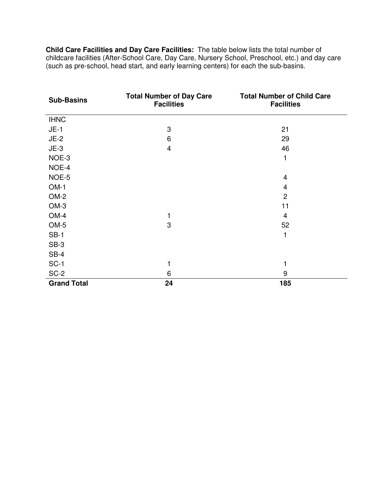**Child Care Facilities and Day Care Facilities:** The table below lists the total number of childcare facilities (After-School Care, Day Care, Nursery School, Preschool, etc.) and day care (such as pre-school, head start, and early learning centers) for each the sub-basins.

| <b>Sub-Basins</b>  | <b>Total Number of Day Care</b><br><b>Facilities</b> | <b>Total Number of Child Care</b><br><b>Facilities</b> |
|--------------------|------------------------------------------------------|--------------------------------------------------------|
| <b>IHNC</b>        |                                                      |                                                        |
| $JE-1$             | 3                                                    | 21                                                     |
| $JE-2$             | 6                                                    | 29                                                     |
| $JE-3$             | $\overline{\mathbf{4}}$                              | 46                                                     |
| NOE-3              |                                                      | 1                                                      |
| NOE-4              |                                                      |                                                        |
| NOE-5              |                                                      | $\overline{4}$                                         |
| $OM-1$             |                                                      | 4                                                      |
| OM-2               |                                                      | $\overline{2}$                                         |
| $OM-3$             |                                                      | 11                                                     |
| $OM-4$             | 1                                                    | 4                                                      |
| OM-5               | 3                                                    | 52                                                     |
| $SB-1$             |                                                      |                                                        |
| $SB-3$             |                                                      |                                                        |
| $SB-4$             |                                                      |                                                        |
| $SC-1$             | 1                                                    |                                                        |
| SC-2               | 6                                                    | 9                                                      |
| <b>Grand Total</b> | 24                                                   | 185                                                    |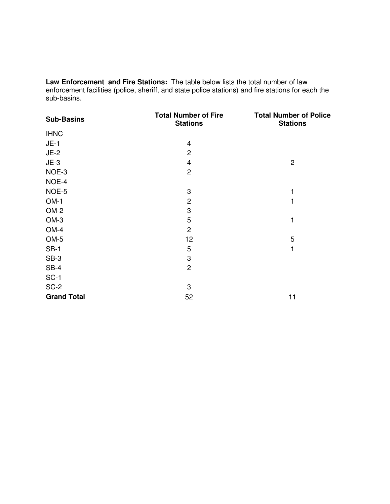**Law Enforcement and Fire Stations:** The table below lists the total number of law enforcement facilities (police, sheriff, and state police stations) and fire stations for each the sub-basins.

| <b>Sub-Basins</b>  | <b>Total Number of Fire</b><br><b>Stations</b> | <b>Total Number of Police</b><br><b>Stations</b> |
|--------------------|------------------------------------------------|--------------------------------------------------|
| <b>IHNC</b>        |                                                |                                                  |
| $JE-1$             | $\overline{4}$                                 |                                                  |
| $JE-2$             | $\overline{2}$                                 |                                                  |
| $JE-3$             | $\overline{4}$                                 | $\overline{c}$                                   |
| NOE-3              | $\overline{c}$                                 |                                                  |
| NOE-4              |                                                |                                                  |
| NOE-5              | 3                                              |                                                  |
| $OM-1$             | $\overline{c}$                                 |                                                  |
| $OM-2$             | 3                                              |                                                  |
| $OM-3$             | 5                                              |                                                  |
| $OM-4$             | $\overline{c}$                                 |                                                  |
| $OM-5$             | 12                                             | 5                                                |
| $SB-1$             | 5                                              |                                                  |
| $SB-3$             | 3                                              |                                                  |
| $SB-4$             | $\overline{c}$                                 |                                                  |
| $SC-1$             |                                                |                                                  |
| $SC-2$             | 3                                              |                                                  |
| <b>Grand Total</b> | 52                                             | 11                                               |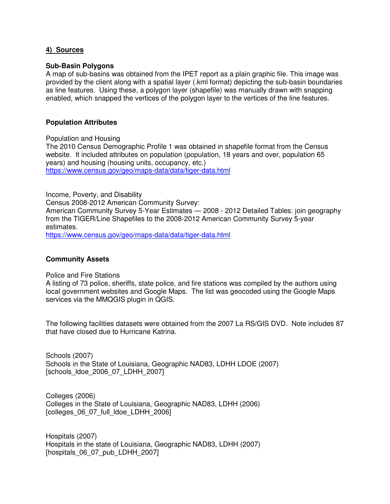#### **4) Sources**

#### **Sub-Basin Polygons**

A map of sub-basins was obtained from the IPET report as a plain graphic file. This image was provided by the client along with a spatial layer (.kml format) depicting the sub-basin boundaries as line features. Using these, a polygon layer (shapefile) was manually drawn with snapping enabled, which snapped the vertices of the polygon layer to the vertices of the line features.

#### **Population Attributes**

Population and Housing

The 2010 Census Demographic Profile 1 was obtained in shapefile format from the Census website. It included attributes on population (population, 18 years and over, population 65 years) and housing (housing units, occupancy, etc.) https://www.census.gov/geo/maps-data/data/tiger-data.html

Income, Poverty, and Disability Census 2008-2012 American Community Survey: American Community Survey 5-Year Estimates — 2008 - 2012 Detailed Tables: join geography from the TIGER/Line Shapefiles to the 2008-2012 American Community Survey 5-year estimates.

https://www.census.gov/geo/maps-data/data/tiger-data.html

#### **Community Assets**

Police and Fire Stations

A listing of 73 police, sheriffs, state police, and fire stations was compiled by the authors using local government websites and Google Maps. The list was geocoded using the Google Maps services via the MMQGIS plugin in QGIS.

The following facilities datasets were obtained from the 2007 La RS/GIS DVD. Note includes 87 that have closed due to Hurricane Katrina.

Schools (2007) Schools in the State of Louisiana, Geographic NAD83, LDHH LDOE (2007) [schools\_ldoe\_2006\_07\_LDHH\_2007]

Colleges (2006) Colleges in the State of Louisiana, Geographic NAD83, LDHH (2006) [colleges\_06\_07\_full\_ldoe\_LDHH\_2006]

Hospitals (2007) Hospitals in the state of Louisiana, Geographic NAD83, LDHH (2007) [hospitals 06\_07\_pub\_LDHH\_2007]